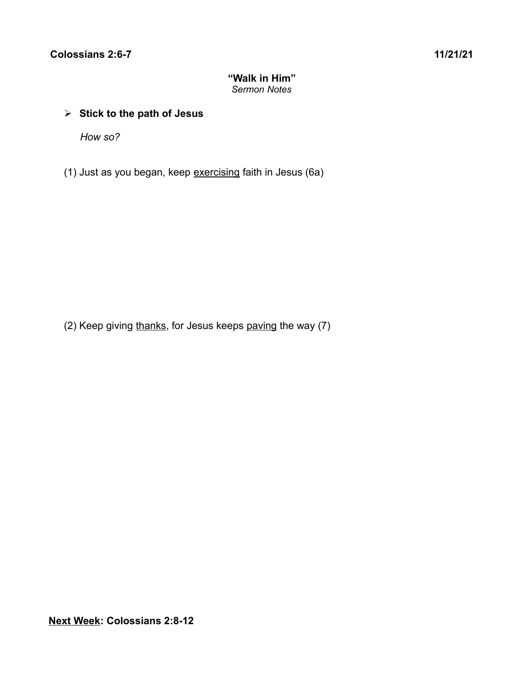# **"Walk in Him"** *Sermon Notes*

# ➢ **Stick to the path of Jesus**

*How so?*

(1) Just as you began, keep exercising faith in Jesus (6a)

(2) Keep giving thanks, for Jesus keeps paving the way (7)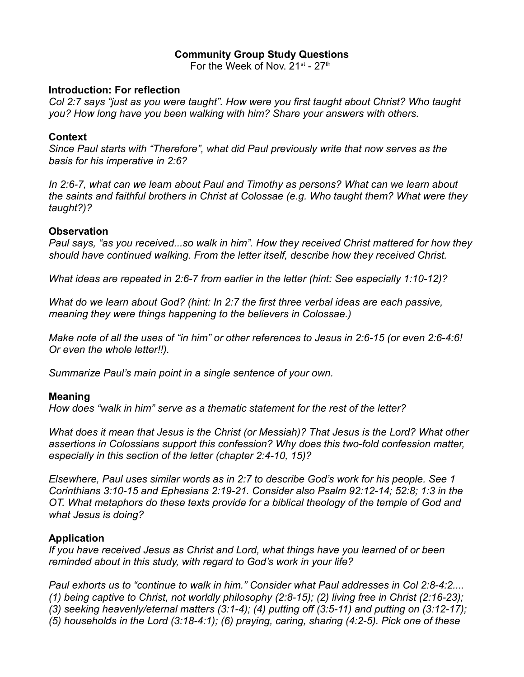# **Community Group Study Questions**

For the Week of Nov. 21<sup>st</sup> - 27<sup>th</sup>

#### **Introduction: For reflection**

*Col 2:7 says "just as you were taught". How were you first taught about Christ? Who taught you? How long have you been walking with him? Share your answers with others.*

### **Context**

*Since Paul starts with "Therefore", what did Paul previously write that now serves as the basis for his imperative in 2:6?*

*In 2:6-7, what can we learn about Paul and Timothy as persons? What can we learn about the saints and faithful brothers in Christ at Colossae (e.g. Who taught them? What were they taught?)?*

# **Observation**

*Paul says, "as you received...so walk in him". How they received Christ mattered for how they should have continued walking. From the letter itself, describe how they received Christ.*

*What ideas are repeated in 2:6-7 from earlier in the letter (hint: See especially 1:10-12)?*

*What do we learn about God? (hint: In 2:7 the first three verbal ideas are each passive, meaning they were things happening to the believers in Colossae.)*

*Make note of all the uses of "in him" or other references to Jesus in 2:6-15 (or even 2:6-4:6! Or even the whole letter!!).*

*Summarize Paul's main point in a single sentence of your own.*

#### **Meaning**

*How does "walk in him" serve as a thematic statement for the rest of the letter?*

*What does it mean that Jesus is the Christ (or Messiah)? That Jesus is the Lord? What other assertions in Colossians support this confession? Why does this two-fold confession matter, especially in this section of the letter (chapter 2:4-10, 15)?*

*Elsewhere, Paul uses similar words as in 2:7 to describe God's work for his people. See 1 Corinthians 3:10-15 and Ephesians 2:19-21. Consider also Psalm 92:12-14; 52:8; 1:3 in the OT. What metaphors do these texts provide for a biblical theology of the temple of God and what Jesus is doing?*

# **Application**

*If you have received Jesus as Christ and Lord, what things have you learned of or been reminded about in this study, with regard to God's work in your life?*

*Paul exhorts us to "continue to walk in him." Consider what Paul addresses in Col 2:8-4:2.... (1) being captive to Christ, not worldly philosophy (2:8-15); (2) living free in Christ (2:16-23); (3) seeking heavenly/eternal matters (3:1-4); (4) putting off (3:5-11) and putting on (3:12-17); (5) households in the Lord (3:18-4:1); (6) praying, caring, sharing (4:2-5). Pick one of these*